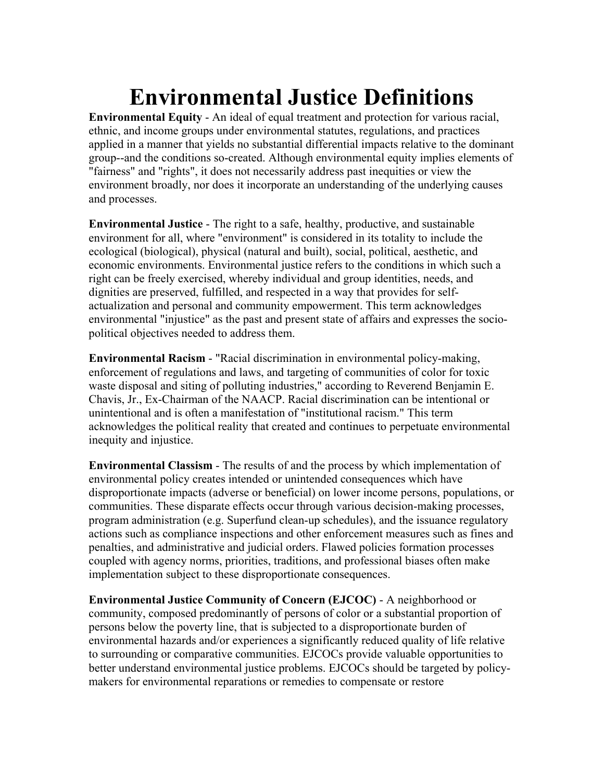## **Environmental Justice Definitions**

**Environmental Equity** - An ideal of equal treatment and protection for various racial, ethnic, and income groups under environmental statutes, regulations, and practices applied in a manner that yields no substantial differential impacts relative to the dominant group--and the conditions so-created. Although environmental equity implies elements of "fairness" and "rights", it does not necessarily address past inequities or view the environment broadly, nor does it incorporate an understanding of the underlying causes and processes.

**Environmental Justice** - The right to a safe, healthy, productive, and sustainable environment for all, where "environment" is considered in its totality to include the ecological (biological), physical (natural and built), social, political, aesthetic, and economic environments. Environmental justice refers to the conditions in which such a right can be freely exercised, whereby individual and group identities, needs, and dignities are preserved, fulfilled, and respected in a way that provides for selfactualization and personal and community empowerment. This term acknowledges environmental "injustice" as the past and present state of affairs and expresses the sociopolitical objectives needed to address them.

**Environmental Racism** - "Racial discrimination in environmental policy-making, enforcement of regulations and laws, and targeting of communities of color for toxic waste disposal and siting of polluting industries," according to Reverend Benjamin E. Chavis, Jr., Ex-Chairman of the NAACP. Racial discrimination can be intentional or unintentional and is often a manifestation of "institutional racism." This term acknowledges the political reality that created and continues to perpetuate environmental inequity and injustice.

**Environmental Classism** - The results of and the process by which implementation of environmental policy creates intended or unintended consequences which have disproportionate impacts (adverse or beneficial) on lower income persons, populations, or communities. These disparate effects occur through various decision-making processes, program administration (e.g. Superfund clean-up schedules), and the issuance regulatory actions such as compliance inspections and other enforcement measures such as fines and penalties, and administrative and judicial orders. Flawed policies formation processes coupled with agency norms, priorities, traditions, and professional biases often make implementation subject to these disproportionate consequences.

**Environmental Justice Community of Concern (EJCOC)** - A neighborhood or community, composed predominantly of persons of color or a substantial proportion of persons below the poverty line, that is subjected to a disproportionate burden of environmental hazards and/or experiences a significantly reduced quality of life relative to surrounding or comparative communities. EJCOCs provide valuable opportunities to better understand environmental justice problems. EJCOCs should be targeted by policymakers for environmental reparations or remedies to compensate or restore